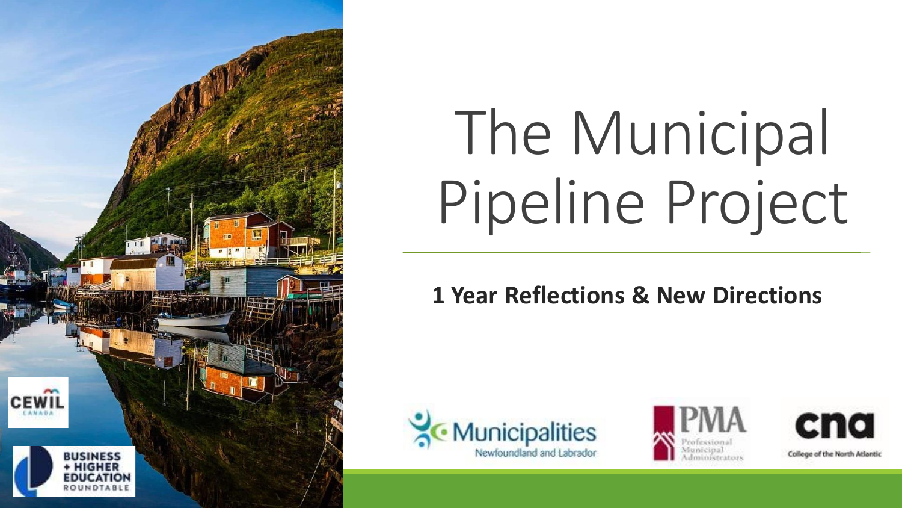

# The Municipal Pipeline Project

**1 Year Reflections & New Directions**







College of the North Atlantic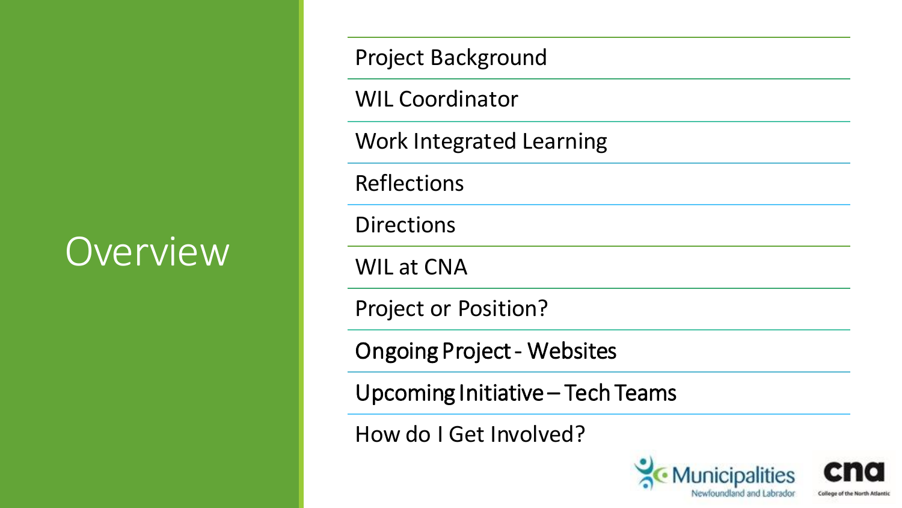### Overview

Project Background

WIL Coordinator

Work Integrated Learning

Reflections

**Directions** 

WIL at CNA

Project or Position?

Ongoing Project - Websites

Upcoming Initiative – Tech Teams

How do I Get Involved?

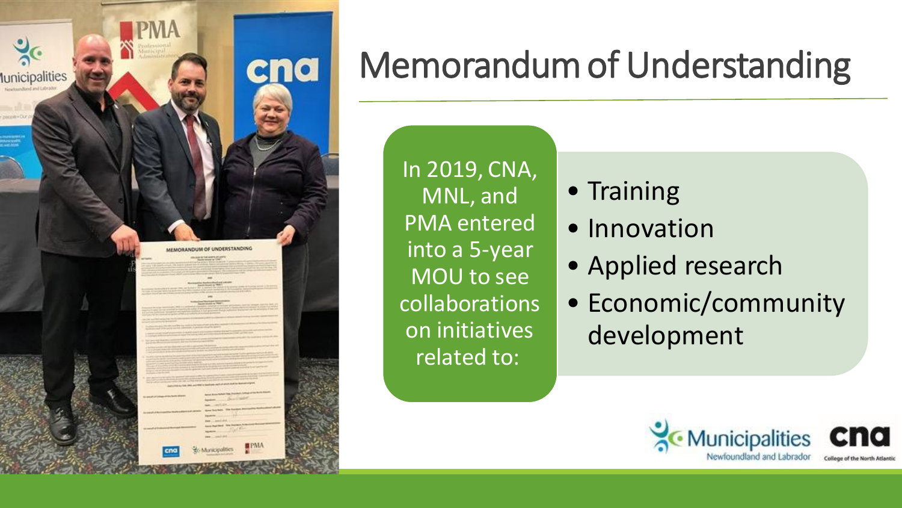

#### Memorandum of Understanding

In 2019, CNA, MNL, and PMA entered into a 5-year MOU to see collaborations on initiatives related to:

- Training
- Innovation
- Applied research
- Economic/community development

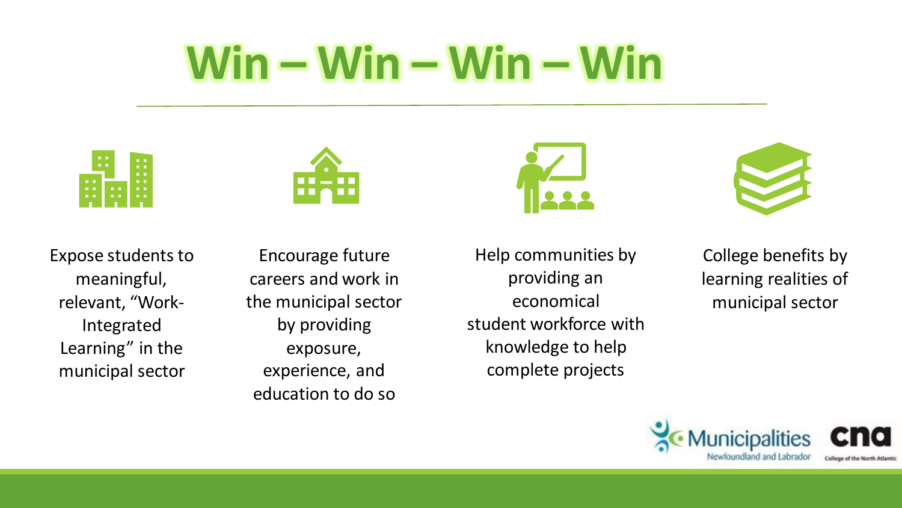# **Win – Win – Win – Win**

|            | $\begin{array}{ccc} \textbf{H} & \textbf{H} \end{array}$<br>. . | n n<br>. .        |
|------------|-----------------------------------------------------------------|-------------------|
| . .<br>. . | . .                                                             | . .<br>. .<br>. . |
| . .        | . .                                                             | . .               |



Expose students to meaningful, relevant, "Work-Integrated Learning" in the municipal sector

Encourage future careers and work in the municipal sector by providing exposure, experience, and education to do so

Help communities by providing an economical student workforce with knowledge to help complete projects

College benefits by learning realities of municipal sector

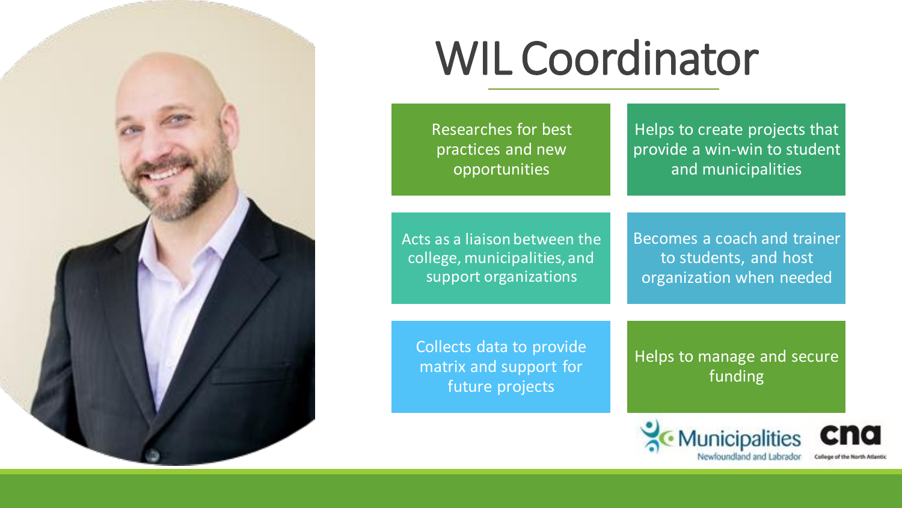

# WIL Coordinator

Researches for best practices and new opportunities

Helps to create projects that provide a win-win to student and municipalities

Acts as a liaison between the college, municipalities, and support organizations

Becomes a coach and trainer to students, and host organization when needed

Collects data to provide matrix and support for future projects

Helps to manage and secure funding

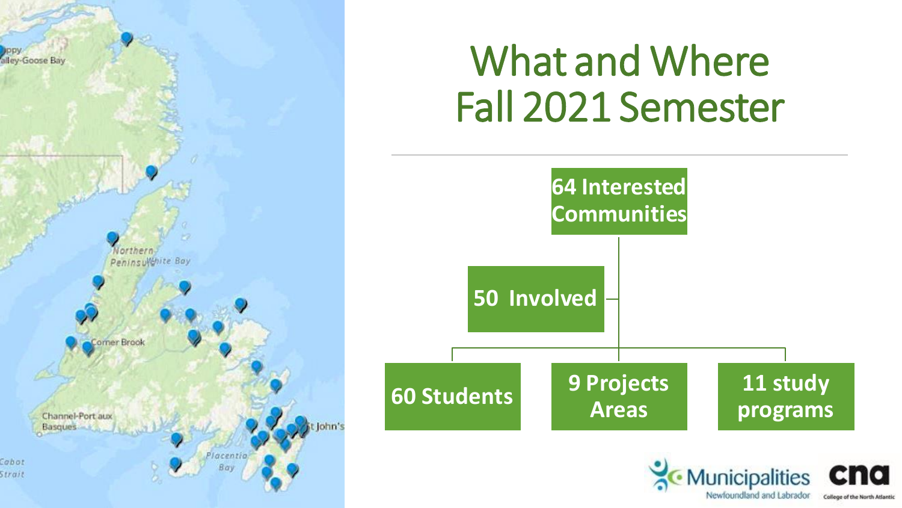

### What and Where Fall 2021 Semester



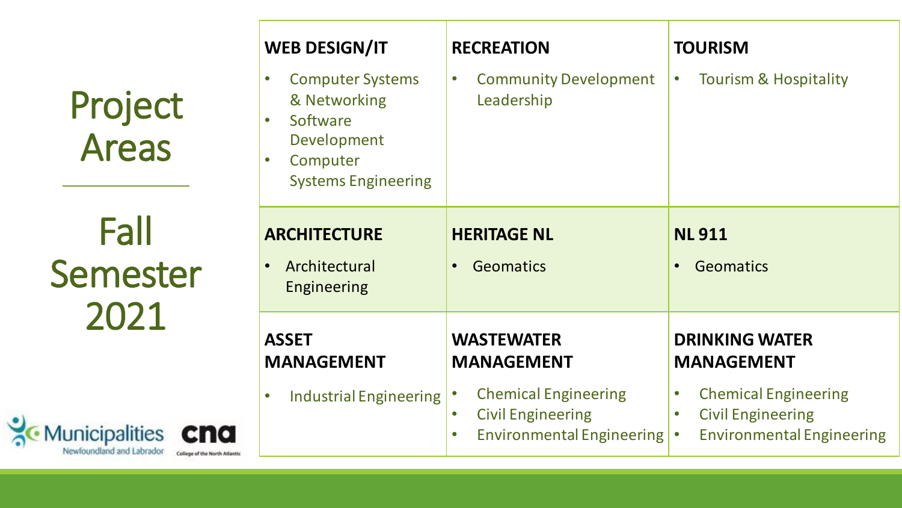| Project      |
|--------------|
| <b>Areas</b> |

Fall Semester 2021

Municipalities Cna

| <b>WEB DESIGN/IT</b>                                                                                         | <b>RECREATION</b>                                                                                                                                               | <b>TOURISM</b>                                                                                                                                         |
|--------------------------------------------------------------------------------------------------------------|-----------------------------------------------------------------------------------------------------------------------------------------------------------------|--------------------------------------------------------------------------------------------------------------------------------------------------------|
| <b>Computer Systems</b><br>& Networking<br>Software<br>Development<br>Computer<br><b>Systems Engineering</b> | <b>Community Development</b><br>$\bullet$<br>Leadership                                                                                                         | <b>Tourism &amp; Hospitality</b>                                                                                                                       |
| <b>ARCHITECTURE</b><br>Architectural<br><b>Engineering</b>                                                   | <b>HERITAGE NL</b><br><b>Geomatics</b>                                                                                                                          | <b>NL911</b><br><b>Geomatics</b>                                                                                                                       |
| <b>ASSET</b><br><b>MANAGEMENT</b><br><b>Industrial Engineering</b>                                           | <b>WASTEWATER</b><br><b>MANAGEMENT</b><br><b>Chemical Engineering</b><br><b>Civil Engineering</b><br>$\bullet$<br><b>Environmental Engineering</b><br>$\bullet$ | <b>DRINKING WATER</b><br><b>MANAGEMENT</b><br><b>Chemical Engineering</b><br><b>Civil Engineering</b><br><b>Environmental Engineering</b><br>$\bullet$ |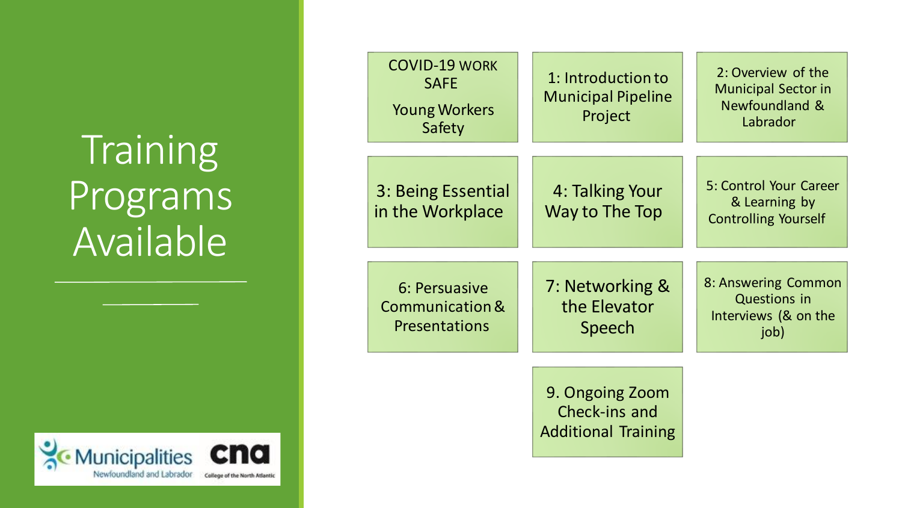### **Training** Programs Available



| <b>COVID-19 WORK</b><br><b>SAFE</b><br><b>Young Workers</b><br>Safety | 1: Introduction to<br><b>Municipal Pipeline</b><br>Project     | 2: Overview of the<br><b>Municipal Sector in</b><br><b>Newfoundland &amp;</b><br>Labrador |
|-----------------------------------------------------------------------|----------------------------------------------------------------|-------------------------------------------------------------------------------------------|
| 3: Being Essential<br>in the Workplace                                | 4: Talking Your<br>Way to The Top                              | 5: Control Your Career<br>& Learning by<br><b>Controlling Yourself</b>                    |
| 6: Persuasive<br>Communication &<br><b>Presentations</b>              | 7: Networking &<br>the Elevator<br>Speech                      | 8: Answering Common<br><b>Questions in</b><br>Interviews (& on the<br>job)                |
|                                                                       | 9. Ongoing Zoom<br>Check-ins and<br><b>Additional Training</b> |                                                                                           |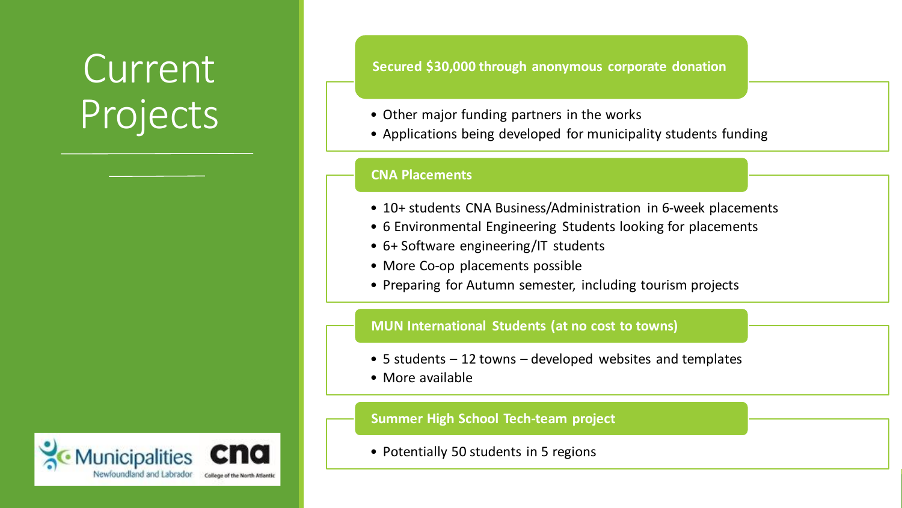### Current Projects • Other major funding partners in the works



**Secured \$30,000 through anonymous corporate donation**

- 
- Applications being developed for municipality students funding

#### **CNA Placements**

- 10+ students CNA Business/Administration in 6-week placements
- 6 Environmental Engineering Students looking for placements
- 6+ Software engineering/IT students
- More Co-op placements possible
- Preparing for Autumn semester, including tourism projects

#### **MUN International Students (at no cost to towns)**

- 5 students 12 towns developed websites and templates
- More available

#### **Summer High School Tech-team project**

• Potentially 50 students in 5 regions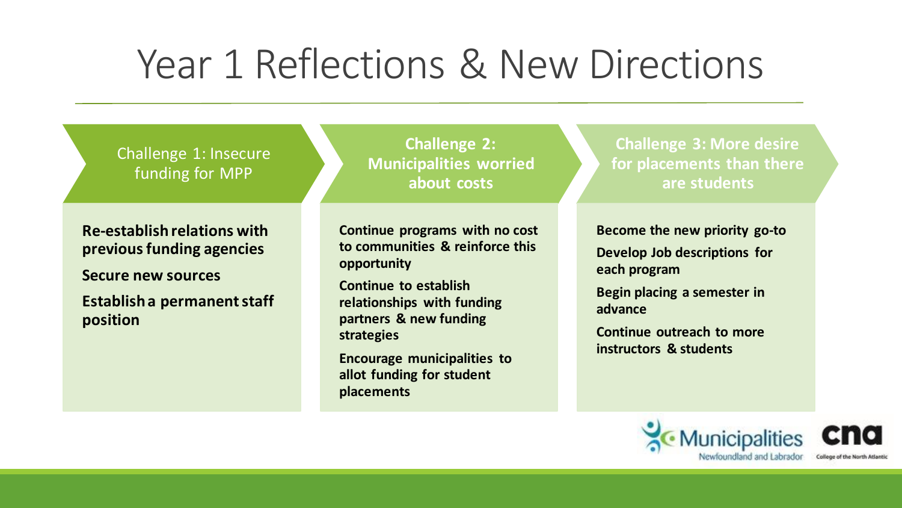### Year 1 Reflections & New Directions

Challenge 1: Insecure funding for MPP

**Re-establish relations with previous funding agencies Secure new sources Establish a permanent staff position**

**Challenge 2: Municipalities worried about costs**

**Continue programs with no cost to communities & reinforce this opportunity**

**Continue to establish relationships with funding partners & new funding strategies**

**Encourage municipalities to allot funding for student placements**

**Challenge 3: More desire for placements than there are students**

**Become the new priority go-to Develop Job descriptions for each program**

**Begin placing a semester in advance**

**Continue outreach to more instructors & students**



College of the North Atlantic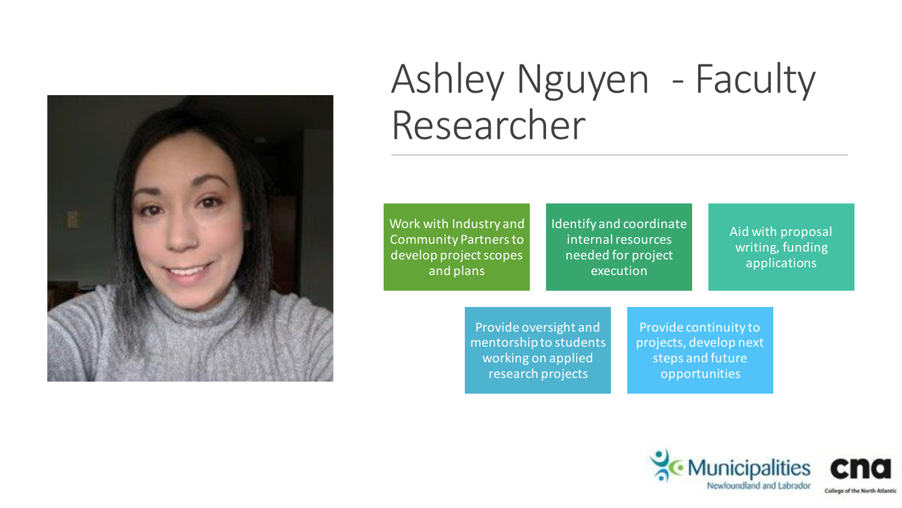

### Ashley Nguyen - Faculty Researcher

Work with Industry and Community Partners to develop project scopes and plans

Identify and coordinate internal resources needed for project execution

Aid with proposal writing, funding applications

Provide oversight and mentorship to students working on applied research projects

Provide continuity to projects, develop next steps and future opportunities

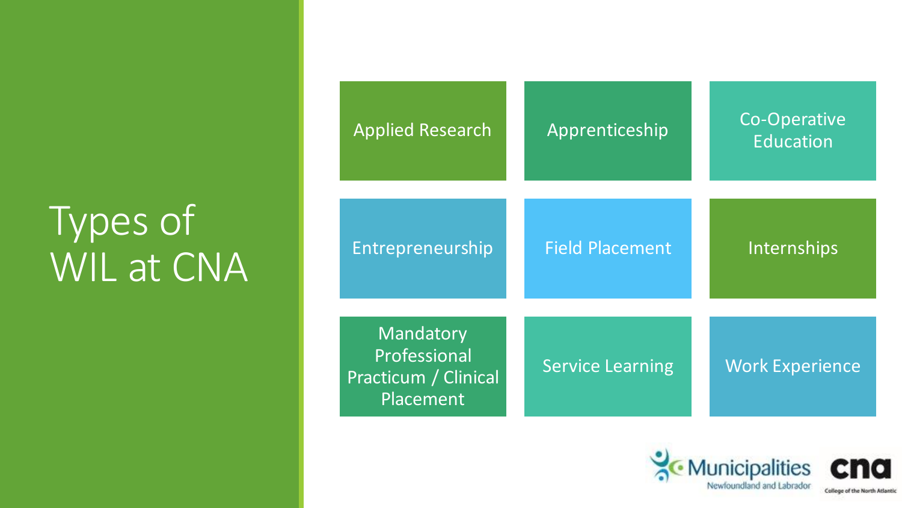### Types of WIL at CNA

| <b>Applied Research</b>                                        | Apprenticeship          | Co-Operative<br><b>Education</b> |
|----------------------------------------------------------------|-------------------------|----------------------------------|
| Entrepreneurship                                               | <b>Field Placement</b>  | Internships                      |
| Mandatory<br>Professional<br>Practicum / Clinical<br>Placement | <b>Service Learning</b> | <b>Work Experience</b>           |



College of the North Atlantic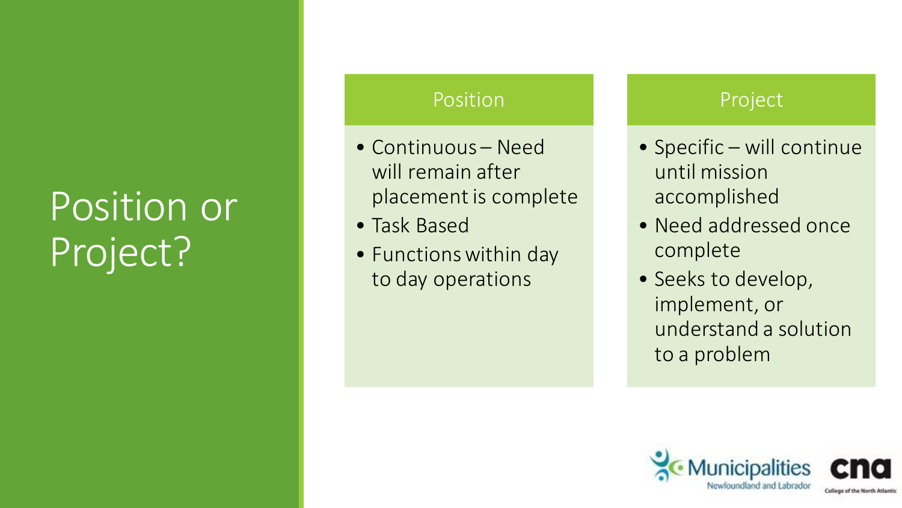### Position or Project?

#### Position

- Continuous Need will remain after placement is complete
- Task Based
- Functions within day to day operations

#### Project

- Specific will continue until mission accomplished
- Need addressed once complete
- Seeks to develop, implement, or understand a solution to a problem

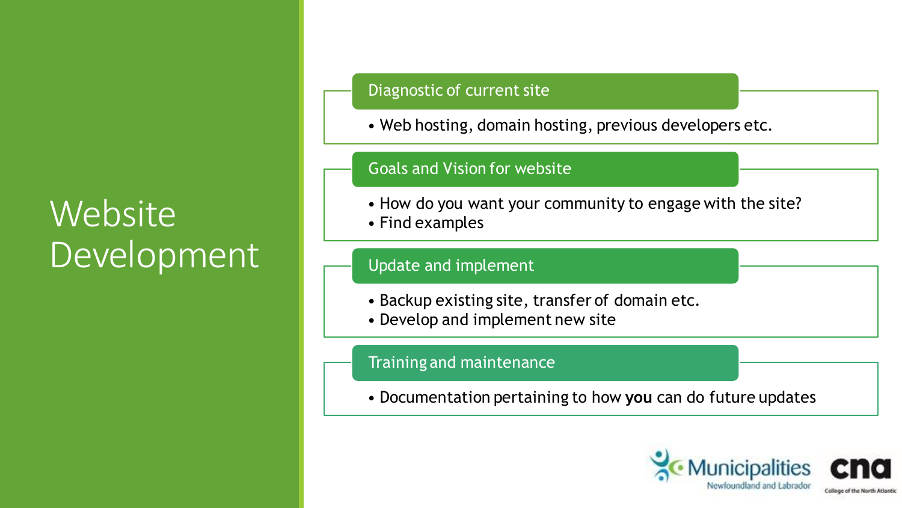#### **Website** Development

#### Diagnostic of current site

• Web hosting, domain hosting, previous developers etc.

#### Goals and Vision for website

- How do you want your community to engage with the site?
- Find examples

#### Update and implement

- Backup existing site, transfer of domain etc.
- Develop and implement new site

#### Training and maintenance

• Documentation pertaining to how **you** can do future updates

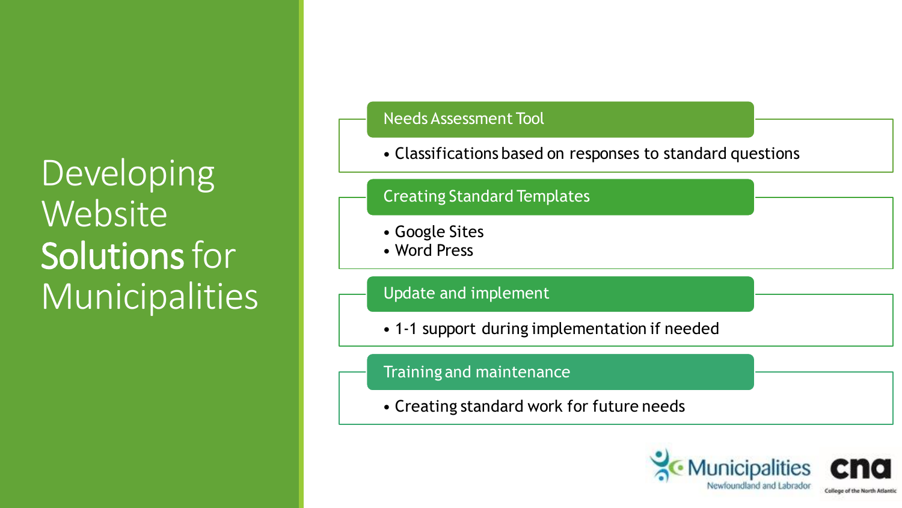**Developing Website** Solutions for Municipalities

#### • Classifications based on responses to standard questions Needs Assessment Tool • Google Sites • Word Press Creating Standard Templates • 1-1 support during implementation if needed Update and implement • Creating standard work for future needs Training and maintenance

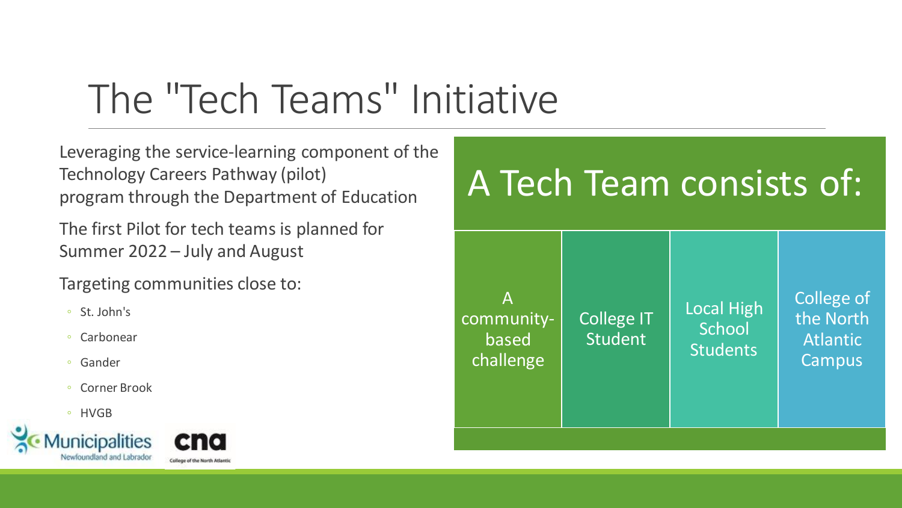### The "Tech Teams" Initiative

Leveraging the service-learning component of the Technology Careers Pathway (pilot) program through the Department of Education

The first Pilot for tech teams is planned for Summer 2022 – July and August

Targeting communities close to:

- St. John's
- Carbonear
- Gander
- Corner Brook
- HVGB





#### A Tech Team consists of: A communitybased challenge College IT Student Local High **School Students** College of the North Atlantic **Campus**